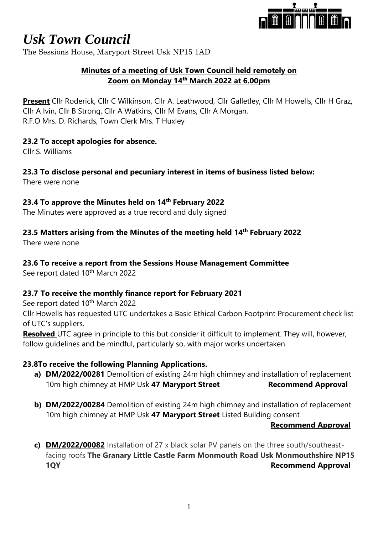

The Sessions House, Maryport Street Usk NP15 1AD

# **Minutes of a meeting of Usk Town Council held remotely on Zoom on Monday 14th March 2022 at 6.00pm**

**Present** Cllr Roderick, Cllr C Wilkinson, Cllr A. Leathwood, Cllr Galletley, Cllr M Howells, Cllr H Graz, Cllr A Ivin, Cllr B Strong, Cllr A Watkins, Cllr M Evans, Cllr A Morgan, R.F.O Mrs. D. Richards, Town Clerk Mrs. T Huxley

# **23.2 To accept apologies for absence.**

Cllr S. Williams

# **23.3 To disclose personal and pecuniary interest in items of business listed below:**

There were none

# **23.4 To approve the Minutes held on 14th February 2022**

The Minutes were approved as a true record and duly signed

# **23.5 Matters arising from the Minutes of the meeting held 14th February 2022**

There were none

#### **23.6 To receive a report from the Sessions House Management Committee**

See report dated 10<sup>th</sup> March 2022

# **23.7 To receive the monthly finance report for February 2021**

See report dated 10<sup>th</sup> March 2022

Cllr Howells has requested UTC undertakes a Basic Ethical Carbon Footprint Procurement check list of UTC's suppliers.

**Resolved** UTC agree in principle to this but consider it difficult to implement. They will, however, follow guidelines and be mindful, particularly so, with major works undertaken.

# **23.8To receive the following Planning Applications.**

- **a) DM/2022/00281** Demolition of existing 24m high chimney and installation of replacement 10m high chimney at HMP Usk 47 Maryport Street Recommend Approval
- **b) DM/2022/00284** Demolition of existing 24m high chimney and installation of replacement 10m high chimney at HMP Usk **47 Maryport Street** Listed Building consent

#### **Recommend Approval**

**c) DM/2022/00082** Installation of 27 x black solar PV panels on the three south/southeastfacing roofs **The Granary Little Castle Farm Monmouth Road Usk Monmouthshire NP15 1QY Recommend Approval**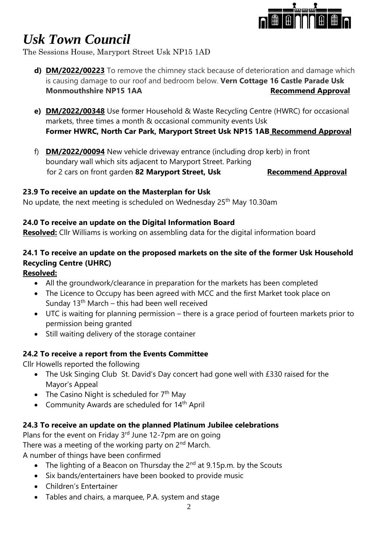

The Sessions House, Maryport Street Usk NP15 1AD

- **d) DM/2022/00223** To remove the chimney stack because of deterioration and damage which is causing damage to our roof and bedroom below. **Vern Cottage 16 Castle Parade Usk Monmouthshire NP15 1AA** Recommend Approval
- **e) DM/2022/00348** Use former Household & Waste Recycling Centre (HWRC) for occasional markets, three times a month & occasional community events Usk **Former HWRC, North Car Park, Maryport Street Usk NP15 1AB Recommend Approval**
- f) **DM/2022/00094** New vehicle driveway entrance (including drop kerb) in front boundary wall which sits adjacent to Maryport Street. Parking for 2 cars on front garden 82 Maryport Street, Usk Recommend Approval

#### **23.9 To receive an update on the Masterplan for Usk**

No update, the next meeting is scheduled on Wednesday 25<sup>th</sup> May 10.30am

# **24.0 To receive an update on the Digital Information Board**

**Resolved:** Cllr Williams is working on assembling data for the digital information board

# **24.1 To receive an update on the proposed markets on the site of the former Usk Household Recycling Centre (UHRC)**

# **Resolved:**

- All the groundwork/clearance in preparation for the markets has been completed
- The Licence to Occupy has been agreed with MCC and the first Market took place on Sunday  $13<sup>th</sup>$  March – this had been well received
- UTC is waiting for planning permission there is a grace period of fourteen markets prior to permission being granted
- Still waiting delivery of the storage container

# **24.2 To receive a report from the Events Committee**

Cllr Howells reported the following

- The Usk Singing Club St. David's Day concert had gone well with £330 raised for the Mayor's Appeal
- The Casino Night is scheduled for  $7<sup>th</sup>$  May
- Community Awards are scheduled for 14<sup>th</sup> April

# **24.3 To receive an update on the planned Platinum Jubilee celebrations**

Plans for the event on Friday  $3<sup>rd</sup>$  June 12-7pm are on going There was a meeting of the working party on 2<sup>nd</sup> March. A number of things have been confirmed

- The lighting of a Beacon on Thursday the 2<sup>nd</sup> at 9.15p.m. by the Scouts
- Six bands/entertainers have been booked to provide music
- Children's Entertainer
- Tables and chairs, a marquee, P.A. system and stage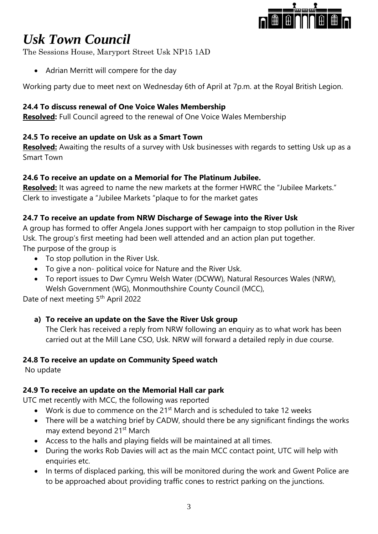

The Sessions House, Maryport Street Usk NP15 1AD

• Adrian Merritt will compere for the day

Working party due to meet next on Wednesday 6th of April at 7p.m. at the Royal British Legion.

# **24.4 To discuss renewal of One Voice Wales Membership**

**Resolved:** Full Council agreed to the renewal of One Voice Wales Membership

# **24.5 To receive an update on Usk as a Smart Town**

**Resolved:** Awaiting the results of a survey with Usk businesses with regards to setting Usk up as a Smart Town

# **24.6 To receive an update on a Memorial for The Platinum Jubilee.**

**Resolved:** It was agreed to name the new markets at the former HWRC the "Jubilee Markets." Clerk to investigate a "Jubilee Markets "plaque to for the market gates

# **24.7 To receive an update from NRW Discharge of Sewage into the River Usk**

A group has formed to offer Angela Jones support with her campaign to stop pollution in the River Usk. The group's first meeting had been well attended and an action plan put together. The purpose of the group is

- To stop pollution in the River Usk.
- To give a non- political voice for Nature and the River Usk.
- To report issues to Dwr Cymru Welsh Water (DCWW), Natural Resources Wales (NRW), Welsh Government (WG), Monmouthshire County Council (MCC),

Date of next meeting 5<sup>th</sup> April 2022

# **a) To receive an update on the Save the River Usk group**

The Clerk has received a reply from NRW following an enquiry as to what work has been carried out at the Mill Lane CSO, Usk. NRW will forward a detailed reply in due course.

# **24.8 To receive an update on Community Speed watch**

No update

# **24.9 To receive an update on the Memorial Hall car park**

UTC met recently with MCC, the following was reported

- Work is due to commence on the  $21<sup>st</sup>$  March and is scheduled to take 12 weeks
- There will be a watching brief by CADW, should there be any significant findings the works may extend beyond 21<sup>st</sup> March
- Access to the halls and playing fields will be maintained at all times.
- During the works Rob Davies will act as the main MCC contact point, UTC will help with enquiries etc.
- In terms of displaced parking, this will be monitored during the work and Gwent Police are to be approached about providing traffic cones to restrict parking on the junctions.